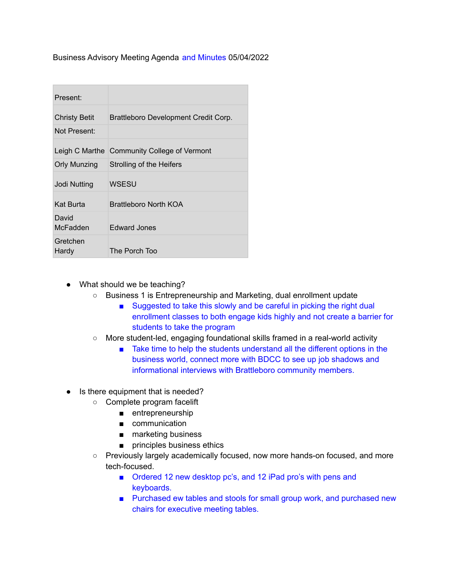Business Advisory Meeting Agenda and Minutes 05/04/2022

| Present:             |                                             |
|----------------------|---------------------------------------------|
| <b>Christy Betit</b> | Brattleboro Development Credit Corp.        |
| Not Present:         |                                             |
|                      | Leigh C Marthe Community College of Vermont |
| <b>Orly Munzing</b>  | Strolling of the Heifers                    |
| Jodi Nutting         | WSESU                                       |
| Kat Burta            | Brattleboro North KOA                       |
| David<br>McFadden    | <b>Edward Jones</b>                         |
| Gretchen<br>Hardy    | The Porch Too                               |

- What should we be teaching?
	- Business 1 is Entrepreneurship and Marketing, dual enrollment update
		- Suggested to take this slowly and be careful in picking the right dual enrollment classes to both engage kids highly and not create a barrier for students to take the program
	- More student-led, engaging foundational skills framed in a real-world activity
		- Take time to help the students understand all the different options in the business world, connect more with BDCC to see up job shadows and informational interviews with Brattleboro community members.
- Is there equipment that is needed?
	- Complete program facelift
		- entrepreneurship
		- communication
		- marketing business
		- principles business ethics
	- Previously largely academically focused, now more hands-on focused, and more tech-focused.
		- Ordered 12 new desktop pc's, and 12 iPad pro's with pens and keyboards.
		- Purchased ew tables and stools for small group work, and purchased new chairs for executive meeting tables.